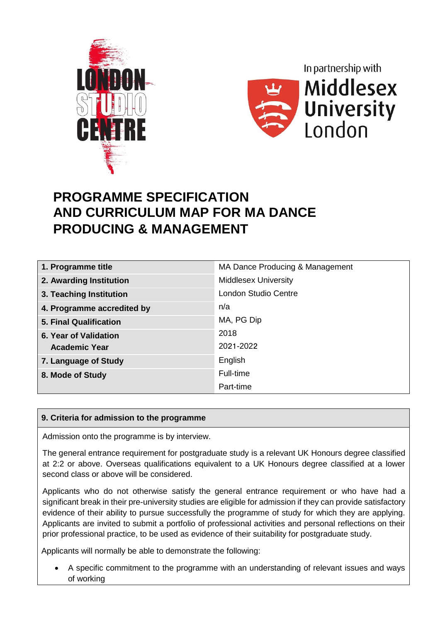



## **PROGRAMME SPECIFICATION AND CURRICULUM MAP FOR MA DANCE PRODUCING & MANAGEMENT**

| 1. Programme title            | MA Dance Producing & Management |
|-------------------------------|---------------------------------|
| 2. Awarding Institution       | <b>Middlesex University</b>     |
| 3. Teaching Institution       | <b>London Studio Centre</b>     |
| 4. Programme accredited by    | n/a                             |
| <b>5. Final Qualification</b> | MA, PG Dip                      |
| 6. Year of Validation         | 2018                            |
| <b>Academic Year</b>          | 2021-2022                       |
| 7. Language of Study          | English                         |
| 8. Mode of Study              | Full-time                       |
|                               | Part-time                       |

### **9. Criteria for admission to the programme**

Admission onto the programme is by interview.

The general entrance requirement for postgraduate study is a relevant UK Honours degree classified at 2:2 or above. Overseas qualifications equivalent to a UK Honours degree classified at a lower second class or above will be considered.

Applicants who do not otherwise satisfy the general entrance requirement or who have had a significant break in their pre-university studies are eligible for admission if they can provide satisfactory evidence of their ability to pursue successfully the programme of study for which they are applying. Applicants are invited to submit a portfolio of professional activities and personal reflections on their prior professional practice, to be used as evidence of their suitability for postgraduate study.

Applicants will normally be able to demonstrate the following:

 A specific commitment to the programme with an understanding of relevant issues and ways of working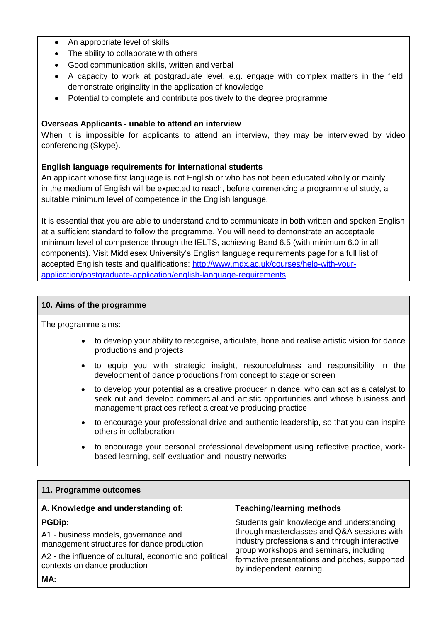- An appropriate level of skills
- The ability to collaborate with others
- Good communication skills, written and verbal
- A capacity to work at postgraduate level, e.g. engage with complex matters in the field; demonstrate originality in the application of knowledge
- Potential to complete and contribute positively to the degree programme

#### **Overseas Applicants - unable to attend an interview**

When it is impossible for applicants to attend an interview, they may be interviewed by video conferencing (Skype).

#### **English language requirements for international students**

An applicant whose first language is not English or who has not been educated wholly or mainly in the medium of English will be expected to reach, before commencing a programme of study, a suitable minimum level of competence in the English language.

It is essential that you are able to understand and to communicate in both written and spoken English at a sufficient standard to follow the programme. You will need to demonstrate an acceptable minimum level of competence through the IELTS, achieving Band 6.5 (with minimum 6.0 in all components). Visit Middlesex University's English language requirements page for a full list of accepted English tests and qualifications: [http://www.mdx.ac.uk/courses/help-with-your](http://www.mdx.ac.uk/courses/help-with-your-application/postgraduate-application/english-language-requirements)[application/postgraduate-application/english-language-requirements](http://www.mdx.ac.uk/courses/help-with-your-application/postgraduate-application/english-language-requirements)

#### **10. Aims of the programme**

The programme aims:

- to develop your ability to recognise, articulate, hone and realise artistic vision for dance productions and projects
- to equip you with strategic insight, resourcefulness and responsibility in the development of dance productions from concept to stage or screen
- to develop your potential as a creative producer in dance, who can act as a catalyst to seek out and develop commercial and artistic opportunities and whose business and management practices reflect a creative producing practice
- to encourage your professional drive and authentic leadership, so that you can inspire others in collaboration
- to encourage your personal professional development using reflective practice, workbased learning, self-evaluation and industry networks

| 11. Programme outcomes                                                                                                                                                                               |                                                                                                                                                                                                                                                                     |  |  |  |  |  |  |  |  |
|------------------------------------------------------------------------------------------------------------------------------------------------------------------------------------------------------|---------------------------------------------------------------------------------------------------------------------------------------------------------------------------------------------------------------------------------------------------------------------|--|--|--|--|--|--|--|--|
| A. Knowledge and understanding of:                                                                                                                                                                   | <b>Teaching/learning methods</b>                                                                                                                                                                                                                                    |  |  |  |  |  |  |  |  |
| <b>PGDip:</b><br>A1 - business models, governance and<br>management structures for dance production<br>A2 - the influence of cultural, economic and political<br>contexts on dance production<br>MA: | Students gain knowledge and understanding<br>through masterclasses and Q&A sessions with<br>industry professionals and through interactive<br>group workshops and seminars, including<br>formative presentations and pitches, supported<br>by independent learning. |  |  |  |  |  |  |  |  |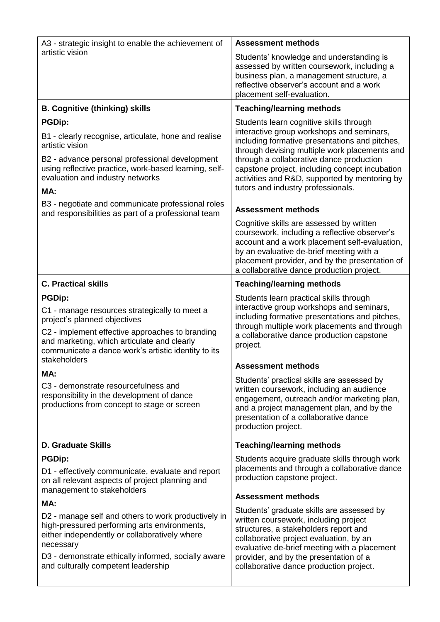| <b>Assessment methods</b>                                                                                                                                                                                                                                                                                                                                                    |
|------------------------------------------------------------------------------------------------------------------------------------------------------------------------------------------------------------------------------------------------------------------------------------------------------------------------------------------------------------------------------|
| Students' knowledge and understanding is<br>assessed by written coursework, including a<br>business plan, a management structure, a<br>reflective observer's account and a work<br>placement self-evaluation.                                                                                                                                                                |
| <b>Teaching/learning methods</b>                                                                                                                                                                                                                                                                                                                                             |
| Students learn cognitive skills through<br>interactive group workshops and seminars,<br>including formative presentations and pitches,<br>through devising multiple work placements and<br>through a collaborative dance production<br>capstone project, including concept incubation<br>activities and R&D, supported by mentoring by<br>tutors and industry professionals. |
| <b>Assessment methods</b>                                                                                                                                                                                                                                                                                                                                                    |
| Cognitive skills are assessed by written<br>coursework, including a reflective observer's<br>account and a work placement self-evaluation,<br>by an evaluative de-brief meeting with a<br>placement provider, and by the presentation of<br>a collaborative dance production project.                                                                                        |
| <b>Teaching/learning methods</b>                                                                                                                                                                                                                                                                                                                                             |
| Students learn practical skills through<br>interactive group workshops and seminars,<br>including formative presentations and pitches,<br>through multiple work placements and through<br>a collaborative dance production capstone<br>project.                                                                                                                              |
| <b>Assessment methods</b>                                                                                                                                                                                                                                                                                                                                                    |
| Students' practical skills are assessed by<br>written coursework, including an audience<br>engagement, outreach and/or marketing plan,<br>and a project management plan, and by the<br>presentation of a collaborative dance<br>production project.                                                                                                                          |
| <b>Teaching/learning methods</b>                                                                                                                                                                                                                                                                                                                                             |
| Students acquire graduate skills through work<br>placements and through a collaborative dance<br>production capstone project.                                                                                                                                                                                                                                                |
| <b>Assessment methods</b>                                                                                                                                                                                                                                                                                                                                                    |
| Students' graduate skills are assessed by<br>written coursework, including project<br>structures, a stakeholders report and<br>collaborative project evaluation, by an<br>evaluative de-brief meeting with a placement<br>provider, and by the presentation of a<br>collaborative dance production project.                                                                  |
|                                                                                                                                                                                                                                                                                                                                                                              |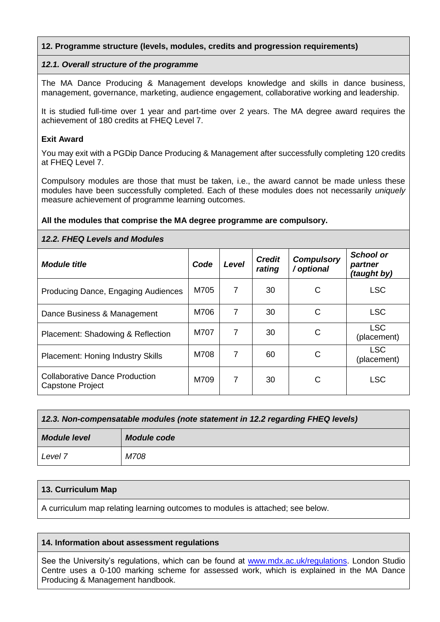#### **12. Programme structure (levels, modules, credits and progression requirements)**

#### *12.1. Overall structure of the programme*

The MA Dance Producing & Management develops knowledge and skills in dance business, management, governance, marketing, audience engagement, collaborative working and leadership.

It is studied full-time over 1 year and part-time over 2 years. The MA degree award requires the achievement of 180 credits at FHEQ Level 7.

#### **Exit Award**

You may exit with a PGDip Dance Producing & Management after successfully completing 120 credits at FHEQ Level 7.

Compulsory modules are those that must be taken, i.e., the award cannot be made unless these modules have been successfully completed. Each of these modules does not necessarily *uniquely*  measure achievement of programme learning outcomes.

#### **All the modules that comprise the MA degree programme are compulsory.**

#### *12.2. FHEQ Levels and Modules*

| <b>Module title</b>                                       | Code | <b>Credit</b><br>Level<br>rating |    | <b>Compulsory</b><br>/ optional | <b>School or</b><br>partner<br>(taught by) |
|-----------------------------------------------------------|------|----------------------------------|----|---------------------------------|--------------------------------------------|
| Producing Dance, Engaging Audiences                       | M705 | $\overline{7}$                   | 30 | С                               | <b>LSC</b>                                 |
| Dance Business & Management                               | M706 | $\overline{7}$                   | 30 | C                               | <b>LSC</b>                                 |
| Placement: Shadowing & Reflection                         | M707 | $\overline{7}$                   | 30 | C                               | <b>LSC</b><br>(placement)                  |
| <b>Placement: Honing Industry Skills</b>                  | M708 | 7                                | 60 | C                               | <b>LSC</b><br>(placement)                  |
| <b>Collaborative Dance Production</b><br>Capstone Project | M709 | 7                                | 30 | С                               | <b>LSC</b>                                 |

| 12.3. Non-compensatable modules (note statement in 12.2 regarding FHEQ levels) |             |  |  |  |  |  |
|--------------------------------------------------------------------------------|-------------|--|--|--|--|--|
| <b>Module level</b>                                                            | Module code |  |  |  |  |  |
| Level 7                                                                        | M708        |  |  |  |  |  |

#### **13. Curriculum Map**

A curriculum map relating learning outcomes to modules is attached; see below.

#### **14. Information about assessment regulations**

See the University's regulations, which can be found at [www.mdx.ac.uk/regulations.](http://www.mdx.ac.uk/regulations) London Studio Centre uses a 0-100 marking scheme for assessed work, which is explained in the MA Dance Producing & Management handbook.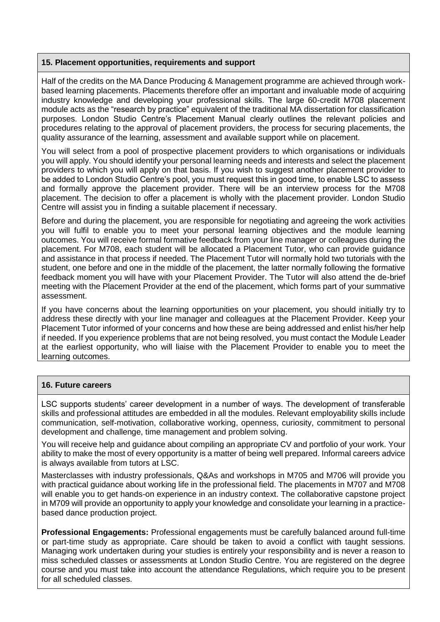#### **15. Placement opportunities, requirements and support**

Half of the credits on the MA Dance Producing & Management programme are achieved through workbased learning placements. Placements therefore offer an important and invaluable mode of acquiring industry knowledge and developing your professional skills. The large 60-credit M708 placement module acts as the "research by practice" equivalent of the traditional MA dissertation for classification purposes. London Studio Centre's Placement Manual clearly outlines the relevant policies and procedures relating to the approval of placement providers, the process for securing placements, the quality assurance of the learning, assessment and available support while on placement.

You will select from a pool of prospective placement providers to which organisations or individuals you will apply. You should identify your personal learning needs and interests and select the placement providers to which you will apply on that basis. If you wish to suggest another placement provider to be added to London Studio Centre's pool, you must request this in good time, to enable LSC to assess and formally approve the placement provider. There will be an interview process for the M708 placement. The decision to offer a placement is wholly with the placement provider. London Studio Centre will assist you in finding a suitable placement if necessary.

Before and during the placement, you are responsible for negotiating and agreeing the work activities you will fulfil to enable you to meet your personal learning objectives and the module learning outcomes. You will receive formal formative feedback from your line manager or colleagues during the placement. For M708, each student will be allocated a Placement Tutor, who can provide guidance and assistance in that process if needed. The Placement Tutor will normally hold two tutorials with the student, one before and one in the middle of the placement, the latter normally following the formative feedback moment you will have with your Placement Provider. The Tutor will also attend the de-brief meeting with the Placement Provider at the end of the placement, which forms part of your summative assessment.

If you have concerns about the learning opportunities on your placement, you should initially try to address these directly with your line manager and colleagues at the Placement Provider. Keep your Placement Tutor informed of your concerns and how these are being addressed and enlist his/her help if needed. If you experience problems that are not being resolved, you must contact the Module Leader at the earliest opportunity, who will liaise with the Placement Provider to enable you to meet the learning outcomes.

#### **16. Future careers**

LSC supports students' career development in a number of ways. The development of transferable skills and professional attitudes are embedded in all the modules. Relevant employability skills include communication, self-motivation, collaborative working, openness, curiosity, commitment to personal development and challenge, time management and problem solving.

You will receive help and guidance about compiling an appropriate CV and portfolio of your work. Your ability to make the most of every opportunity is a matter of being well prepared. Informal careers advice is always available from tutors at LSC.

Masterclasses with industry professionals, Q&As and workshops in M705 and M706 will provide you with practical guidance about working life in the professional field. The placements in M707 and M708 will enable you to get hands-on experience in an industry context. The collaborative capstone project in M709 will provide an opportunity to apply your knowledge and consolidate your learning in a practicebased dance production project.

**Professional Engagements:** Professional engagements must be carefully balanced around full-time or part-time study as appropriate. Care should be taken to avoid a conflict with taught sessions. Managing work undertaken during your studies is entirely your responsibility and is never a reason to miss scheduled classes or assessments at London Studio Centre. You are registered on the degree course and you must take into account the attendance Regulations, which require you to be present for all scheduled classes.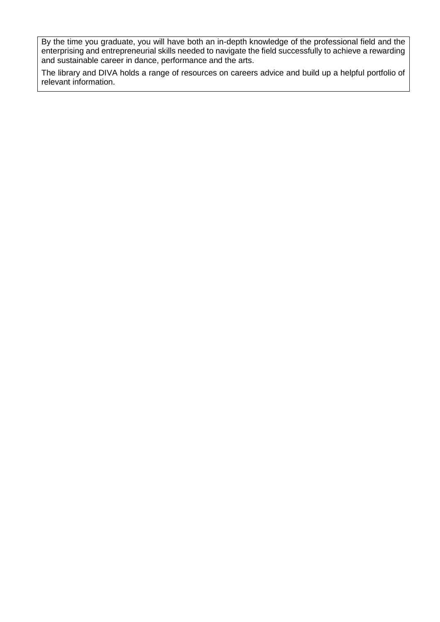By the time you graduate, you will have both an in-depth knowledge of the professional field and the enterprising and entrepreneurial skills needed to navigate the field successfully to achieve a rewarding and sustainable career in dance, performance and the arts.

The library and DIVA holds a range of resources on careers advice and build up a helpful portfolio of relevant information.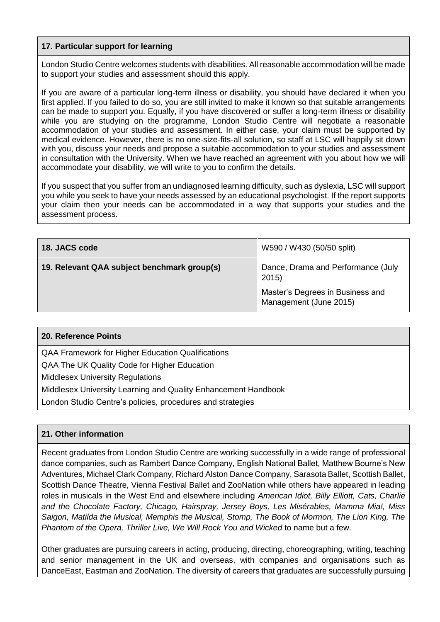#### **17. Particular support for learning**

London Studio Centre welcomes students with disabilities. All reasonable accommodation will be made to support your studies and assessment should this apply.

If you are aware of a particular long-term illness or disability, you should have declared it when you first applied. If you failed to do so, you are still invited to make it known so that suitable arrangements can be made to support you. Equally, if you have discovered or suffer a long-term illness or disability while you are studying on the programme, London Studio Centre will negotiate a reasonable accommodation of your studies and assessment. In either case, your claim must be supported by medical evidence. However, there is no one-size-fits-all solution, so staff at LSC will happily sit down with you, discuss your needs and propose a suitable accommodation to your studies and assessment in consultation with the University. When we have reached an agreement with you about how we will accommodate your disability, we will write to you to confirm the details.

If you suspect that you suffer from an undiagnosed learning difficulty, such as dyslexia, LSC will support you while you seek to have your needs assessed by an educational psychologist. If the report supports your claim then your needs can be accommodated in a way that supports your studies and the assessment process.

| 18. JACS code                               | W590 / W430 (50/50 split)                                  |
|---------------------------------------------|------------------------------------------------------------|
| 19. Relevant QAA subject benchmark group(s) | Dance, Drama and Performance (July<br>2015)                |
|                                             | Master's Degrees in Business and<br>Management (June 2015) |

#### **20. Reference Points**

QAA Framework for Higher Education Qualifications

QAA The UK Quality Code for Higher Education

Middlesex University Regulations

Middlesex University Learning and Quality Enhancement Handbook

London Studio Centre's policies, procedures and strategies

#### **21. Other information**

Recent graduates from London Studio Centre are working successfully in a wide range of professional dance companies, such as Rambert Dance Company, English National Ballet, Matthew Bourne's New Adventures, Michael Clark Company, Richard Alston Dance Company, Sarasota Ballet, Scottish Ballet, Scottish Dance Theatre, Vienna Festival Ballet and ZooNation while others have appeared in leading roles in musicals in the West End and elsewhere including *American Idiot, Billy Elliott, Cats, Charlie and the Chocolate Factory, Chicago, Hairspray, Jersey Boys, Les Misérables, Mamma Mia!, Miss Saigon, Matilda the Musical, Memphis the Musical, Stomp, The Book of Mormon, The Lion King, The*  Phantom of the Opera, Thriller Live, We Will Rock You and Wicked to name but a few.

Other graduates are pursuing careers in acting, producing, directing, choreographing, writing, teaching and senior management in the UK and overseas, with companies and organisations such as DanceEast, Eastman and ZooNation. The diversity of careers that graduates are successfully pursuing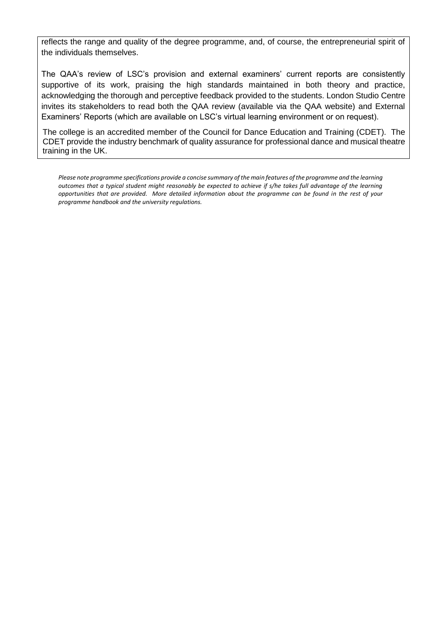reflects the range and quality of the degree programme, and, of course, the entrepreneurial spirit of the individuals themselves.

The QAA's review of LSC's provision and external examiners' current reports are consistently supportive of its work, praising the high standards maintained in both theory and practice, acknowledging the thorough and perceptive feedback provided to the students. London Studio Centre invites its stakeholders to read both the QAA review (available via the QAA website) and External Examiners' Reports (which are available on LSC's virtual learning environment or on request).

The college is an accredited member of the Council for Dance Education and Training (CDET). The CDET provide the industry benchmark of quality assurance for professional dance and musical theatre training in the UK.

*Please note programme specifications provide a concise summary of the main features of the programme and the learning outcomes that a typical student might reasonably be expected to achieve if s/he takes full advantage of the learning opportunities that are provided. More detailed information about the programme can be found in the rest of your programme handbook and the university regulations.*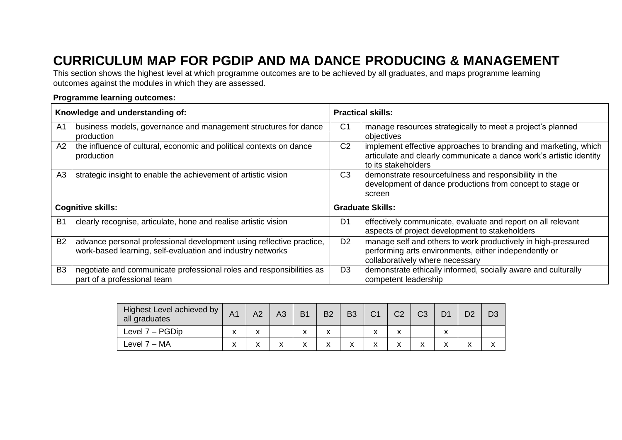# **CURRICULUM MAP FOR PGDIP AND MA DANCE PRODUCING & MANAGEMENT**

This section shows the highest level at which programme outcomes are to be achieved by all graduates, and maps programme learning outcomes against the modules in which they are assessed.

#### **Programme learning outcomes:**

|                          | Knowledge and understanding of:                                                                                                    | <b>Practical skills:</b> |                                                                                                                                                               |  |  |  |  |  |
|--------------------------|------------------------------------------------------------------------------------------------------------------------------------|--------------------------|---------------------------------------------------------------------------------------------------------------------------------------------------------------|--|--|--|--|--|
| A <sub>1</sub>           | business models, governance and management structures for dance<br>production                                                      | C <sub>1</sub>           | manage resources strategically to meet a project's planned<br>objectives                                                                                      |  |  |  |  |  |
| A2                       | the influence of cultural, economic and political contexts on dance<br>production                                                  | C <sub>2</sub>           | implement effective approaches to branding and marketing, which<br>articulate and clearly communicate a dance work's artistic identity<br>to its stakeholders |  |  |  |  |  |
| A <sub>3</sub>           | strategic insight to enable the achievement of artistic vision                                                                     | C <sub>3</sub>           | demonstrate resourcefulness and responsibility in the<br>development of dance productions from concept to stage or<br>screen                                  |  |  |  |  |  |
| <b>Cognitive skills:</b> |                                                                                                                                    |                          | <b>Graduate Skills:</b>                                                                                                                                       |  |  |  |  |  |
| B <sub>1</sub>           | clearly recognise, articulate, hone and realise artistic vision                                                                    | D <sub>1</sub>           | effectively communicate, evaluate and report on all relevant<br>aspects of project development to stakeholders                                                |  |  |  |  |  |
| B <sub>2</sub>           | advance personal professional development using reflective practice,<br>work-based learning, self-evaluation and industry networks | D <sub>2</sub>           | manage self and others to work productively in high-pressured<br>performing arts environments, either independently or<br>collaboratively where necessary     |  |  |  |  |  |
| B <sub>3</sub>           | negotiate and communicate professional roles and responsibilities as<br>part of a professional team                                | D <sub>3</sub>           | demonstrate ethically informed, socially aware and culturally<br>competent leadership                                                                         |  |  |  |  |  |

| Highest Level achieved by<br>all graduates | A1 | A2 | A3 | <b>B1</b> | <b>B2</b>         | <b>B3</b>    | C <sub>1</sub> | C <sub>2</sub> | C <sub>3</sub> | D <sub>2</sub> | D3 |
|--------------------------------------------|----|----|----|-----------|-------------------|--------------|----------------|----------------|----------------|----------------|----|
| Level 7 – PGDip                            | X  | v  |    | x         | $\checkmark$      |              |                | $\checkmark$   |                |                |    |
| Level $7 - MA$                             | X  | v  | v  | v<br>⋏    | $\checkmark$<br>́ | $\checkmark$ | v              | х              |                | ́              | ́  |